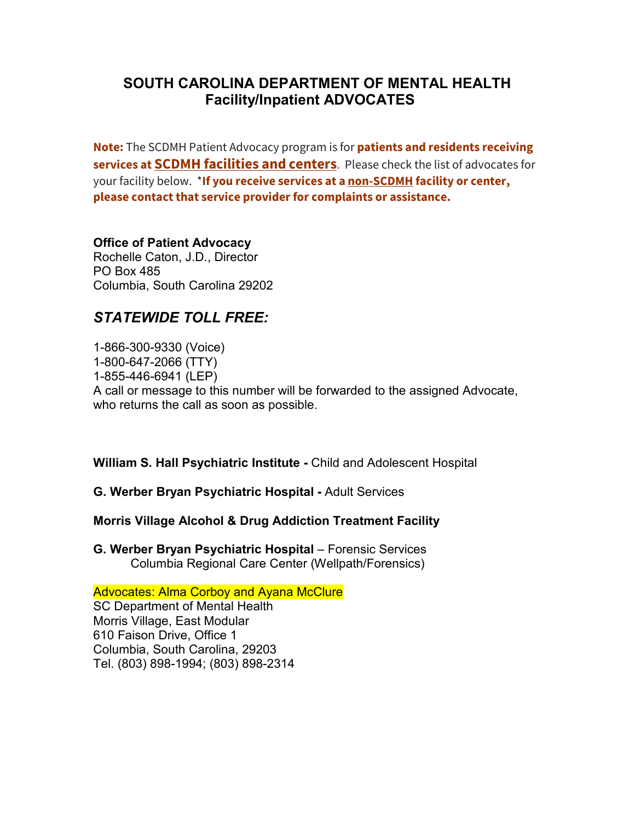# **SOUTH CAROLINA DEPARTMENT OF MENTAL HEALTH Facility/Inpatient ADVOCATES**

**Note:** The SCDMH Patient Advocacy program is for **patients and residents receiving services at SCDMH facilities and centers**. Please check the list of advocates for your facility below. \***If you receive services at a non-SCDMH facility or center, please contact that service provider for complaints or assistance.**

# **Office of Patient Advocacy**

Rochelle Caton, J.D., Director PO Box 485 Columbia, South Carolina 29202

# *STATEWIDE TOLL FREE:*

1-866-300-9330 (Voice) 1-800-647-2066 (TTY) 1-855-446-6941 (LEP) A call or message to this number will be forwarded to the assigned Advocate, who returns the call as soon as possible.

**William S. Hall Psychiatric Institute -** Child and Adolescent Hospital

**G. Werber Bryan Psychiatric Hospital -** Adult Services

## **Morris Village Alcohol & Drug Addiction Treatment Facility**

**G. Werber Bryan Psychiatric Hospital** – Forensic Services Columbia Regional Care Center (Wellpath/Forensics)

**Advocates: Alma Corboy and Ayana McClure** SC Department of Mental Health Morris Village, East Modular 610 Faison Drive, Office 1 Columbia, South Carolina, 29203 Tel. (803) 898-1994; (803) 898-2314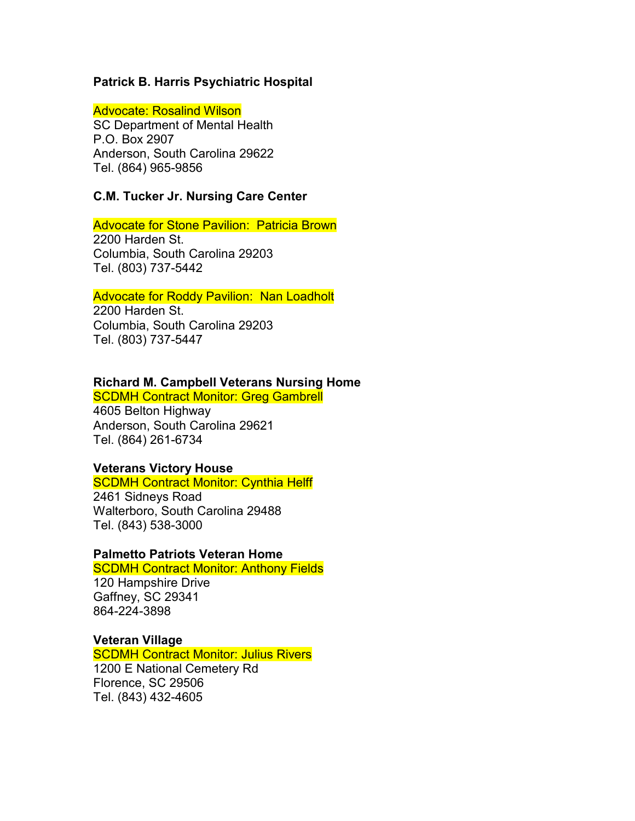#### **Patrick B. Harris Psychiatric Hospital**

Advocate: Rosalind Wilson

SC Department of Mental Health P.O. Box 2907 Anderson, South Carolina 29622 Tel. (864) 965-9856

#### **C.M. Tucker Jr. Nursing Care Center**

### Advocate for Stone Pavilion: Patricia Brown

2200 Harden St. Columbia, South Carolina 29203 Tel. (803) 737-5442

#### Advocate for Roddy Pavilion: Nan Loadholt

2200 Harden St. Columbia, South Carolina 29203 Tel. (803) 737-5447

#### **Richard M. Campbell Veterans Nursing Home**

**SCDMH Contract Monitor: Greg Gambrell** 

4605 Belton Highway Anderson, South Carolina 29621 Tel. (864) 261-6734

#### **Veterans Victory House**

#### **SCDMH Contract Monitor: Cynthia Helff**

2461 Sidneys Road Walterboro, South Carolina 29488 Tel. (843) 538-3000

#### **Palmetto Patriots Veteran Home**

#### **SCDMH Contract Monitor: Anthony Fields**

120 Hampshire Drive Gaffney, SC 29341 864-224-3898

#### **Veteran Village**

**SCDMH Contract Monitor: Julius Rivers** 1200 E National Cemetery Rd Florence, SC 29506 Tel. (843) 432-4605